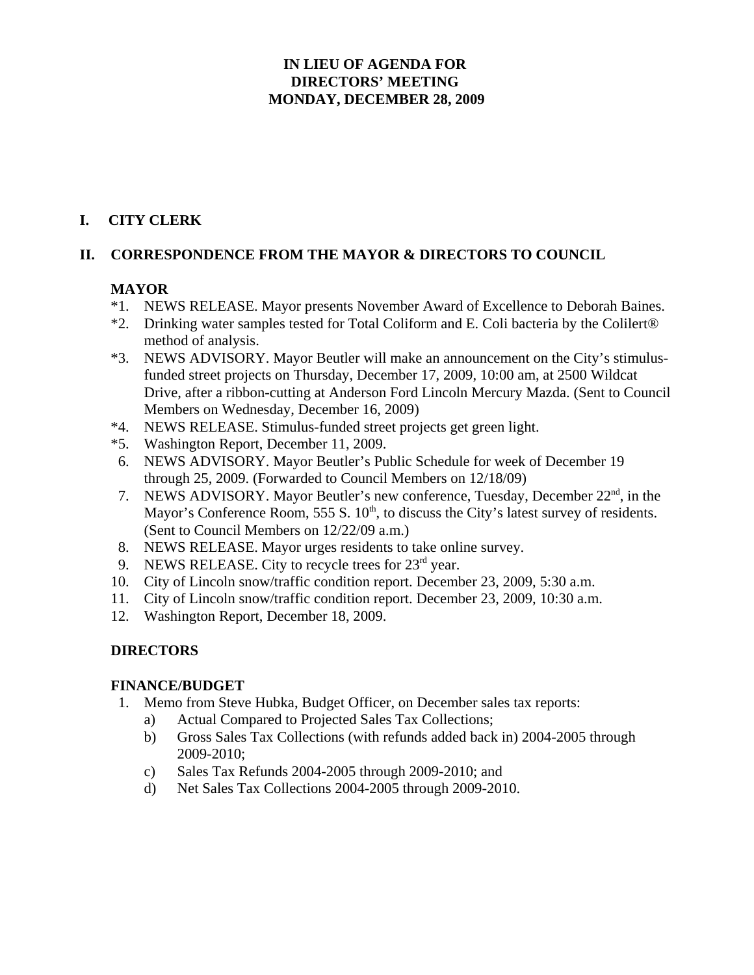## **IN LIEU OF AGENDA FOR DIRECTORS' MEETING MONDAY, DECEMBER 28, 2009**

# **I. CITY CLERK**

## **II. CORRESPONDENCE FROM THE MAYOR & DIRECTORS TO COUNCIL**

## **MAYOR**

- \*1. NEWS RELEASE. Mayor presents November Award of Excellence to Deborah Baines.
- \*2. Drinking water samples tested for Total Coliform and E. Coli bacteria by the Colilert® method of analysis.
- \*3. NEWS ADVISORY. Mayor Beutler will make an announcement on the City's stimulusfunded street projects on Thursday, December 17, 2009, 10:00 am, at 2500 Wildcat Drive, after a ribbon-cutting at Anderson Ford Lincoln Mercury Mazda. (Sent to Council Members on Wednesday, December 16, 2009)
- \*4. NEWS RELEASE. Stimulus-funded street projects get green light.
- \*5. Washington Report, December 11, 2009.
- 6. NEWS ADVISORY. Mayor Beutler's Public Schedule for week of December 19 through 25, 2009. (Forwarded to Council Members on 12/18/09)
- 7. NEWS ADVISORY. Mayor Beutler's new conference, Tuesday, December 22<sup>nd</sup>, in the Mayor's Conference Room, 555 S.  $10<sup>th</sup>$ , to discuss the City's latest survey of residents. (Sent to Council Members on 12/22/09 a.m.)
- 8. NEWS RELEASE. Mayor urges residents to take online survey.
- 9. NEWS RELEASE. City to recycle trees for  $23<sup>rd</sup>$  year.
- 10. City of Lincoln snow/traffic condition report. December 23, 2009, 5:30 a.m.
- 11. City of Lincoln snow/traffic condition report. December 23, 2009, 10:30 a.m.
- 12. Washington Report, December 18, 2009.

## **DIRECTORS**

## **FINANCE/BUDGET**

- 1. Memo from Steve Hubka, Budget Officer, on December sales tax reports:
	- a) Actual Compared to Projected Sales Tax Collections;
	- b) Gross Sales Tax Collections (with refunds added back in) 2004-2005 through 2009-2010;
	- c) Sales Tax Refunds 2004-2005 through 2009-2010; and
	- d) Net Sales Tax Collections 2004-2005 through 2009-2010.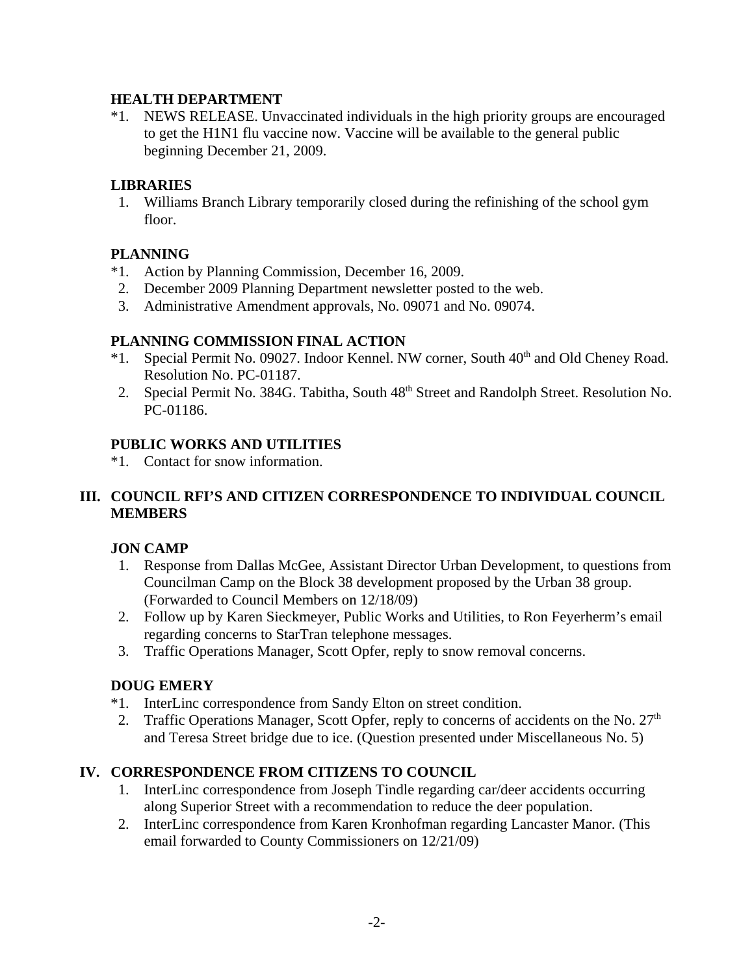### **HEALTH DEPARTMENT**

\*1. NEWS RELEASE. Unvaccinated individuals in the high priority groups are encouraged to get the H1N1 flu vaccine now. Vaccine will be available to the general public beginning December 21, 2009.

#### **LIBRARIES**

 1. Williams Branch Library temporarily closed during the refinishing of the school gym floor.

## **PLANNING**

- \*1. Action by Planning Commission, December 16, 2009.
- 2. December 2009 Planning Department newsletter posted to the web.
- 3. Administrative Amendment approvals, No. 09071 and No. 09074.

#### **PLANNING COMMISSION FINAL ACTION**

- \*1. Special Permit No. 09027. Indoor Kennel. NW corner, South 40<sup>th</sup> and Old Cheney Road. Resolution No. PC-01187.
- 2. Special Permit No. 384G. Tabitha, South  $48<sup>th</sup>$  Street and Randolph Street. Resolution No. PC-01186.

#### **PUBLIC WORKS AND UTILITIES**

\*1. Contact for snow information.

## **III. COUNCIL RFI'S AND CITIZEN CORRESPONDENCE TO INDIVIDUAL COUNCIL MEMBERS**

## **JON CAMP**

- 1. Response from Dallas McGee, Assistant Director Urban Development, to questions from Councilman Camp on the Block 38 development proposed by the Urban 38 group. (Forwarded to Council Members on 12/18/09)
- 2. Follow up by Karen Sieckmeyer, Public Works and Utilities, to Ron Feyerherm's email regarding concerns to StarTran telephone messages.
- 3. Traffic Operations Manager, Scott Opfer, reply to snow removal concerns.

## **DOUG EMERY**

- \*1. InterLinc correspondence from Sandy Elton on street condition.
- 2. Traffic Operations Manager, Scott Opfer, reply to concerns of accidents on the No.  $27<sup>th</sup>$ and Teresa Street bridge due to ice. (Question presented under Miscellaneous No. 5)

## **IV. CORRESPONDENCE FROM CITIZENS TO COUNCIL**

- 1. InterLinc correspondence from Joseph Tindle regarding car/deer accidents occurring along Superior Street with a recommendation to reduce the deer population.
- 2. InterLinc correspondence from Karen Kronhofman regarding Lancaster Manor. (This email forwarded to County Commissioners on 12/21/09)